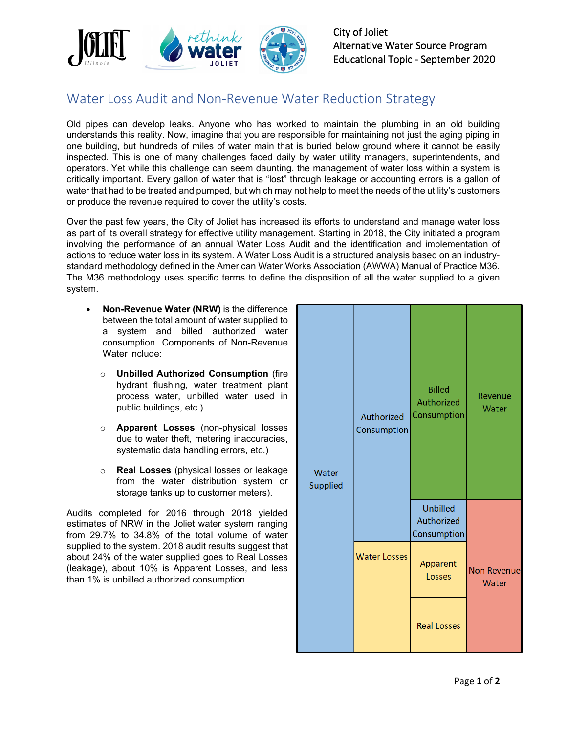

City of Joliet Alternative Water Source Program Educational Topic - September 2020

## Water Loss Audit and Non-Revenue Water Reduction Strategy

Old pipes can develop leaks. Anyone who has worked to maintain the plumbing in an old building understands this reality. Now, imagine that you are responsible for maintaining not just the aging piping in one building, but hundreds of miles of water main that is buried below ground where it cannot be easily inspected. This is one of many challenges faced daily by water utility managers, superintendents, and operators. Yet while this challenge can seem daunting, the management of water loss within a system is critically important. Every gallon of water that is "lost" through leakage or accounting errors is a gallon of water that had to be treated and pumped, but which may not help to meet the needs of the utility's customers or produce the revenue required to cover the utility's costs.

Over the past few years, the City of Joliet has increased its efforts to understand and manage water loss as part of its overall strategy for effective utility management. Starting in 2018, the City initiated a program involving the performance of an annual Water Loss Audit and the identification and implementation of actions to reduce water loss in its system. A Water Loss Audit is a structured analysis based on an industrystandard methodology defined in the American Water Works Association (AWWA) Manual of Practice M36. The M36 methodology uses specific terms to define the disposition of all the water supplied to a given system.

- **Non-Revenue Water (NRW)** is the difference between the total amount of water supplied to a system and billed authorized water consumption. Components of Non-Revenue Water include:
	- o **Unbilled Authorized Consumption** (fire hydrant flushing, water treatment plant process water, unbilled water used in public buildings, etc.)
	- o **Apparent Losses** (non-physical losses due to water theft, metering inaccuracies, systematic data handling errors, etc.)
	- o **Real Losses** (physical losses or leakage from the water distribution system or storage tanks up to customer meters).

Audits completed for 2016 through 2018 yielded estimates of NRW in the Joliet water system ranging from 29.7% to 34.8% of the total volume of water supplied to the system. 2018 audit results suggest that about 24% of the water supplied goes to Real Losses (leakage), about 10% is Apparent Losses, and less than 1% is unbilled authorized consumption.